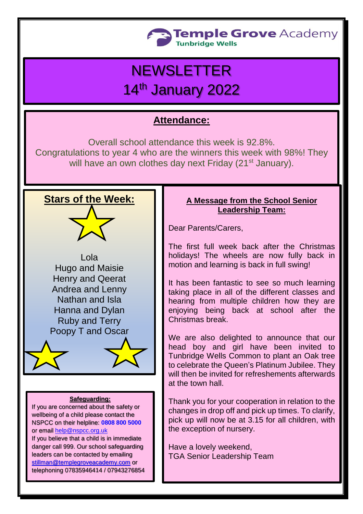

# **NEWSLETTER**

## 14th January 2022

## **Attendance:**

Overall school attendance this week is 92.8%. Congratulations to year 4 who are the winners this week with 98%! They will have an own clothes day next Friday (21<sup>st</sup> January).

## **Stars of the Week:**



#### **Safeguarding:**

If you are concerned about the safety or wellbeing of a child please contact the NSPCC on their helpline: **[0808 800 5000](tel:08088005000)** or email [help@nspcc.org.uk](mailto:help@nspcc.org.uk)

If you believe that a child is in immediate danger call 999. Our school safeguarding leaders can be contacted by emailing [stillman@templegroveacademy.com](mailto:stillman@templegroveacademy.com) or telephoning 07835946414 / 07943276854

### **A Message from the School Senior Leadership Team:**

Dear Parents/Carers,

The first full week back after the Christmas holidays! The wheels are now fully back in motion and learning is back in full swing!

It has been fantastic to see so much learning taking place in all of the different classes and hearing from multiple children how they are enjoying being back at school after the Christmas break.

We are also delighted to announce that our head boy and girl have been invited to Tunbridge Wells Common to plant an Oak tree to celebrate the Queen's Platinum Jubilee. They will then be invited for refreshements afterwards at the town hall.

Thank you for your cooperation in relation to the changes in drop off and pick up times. To clarify, pick up will now be at 3.15 for all children, with the exception of nursery.

Have a lovely weekend, TGA Senior Leadership Team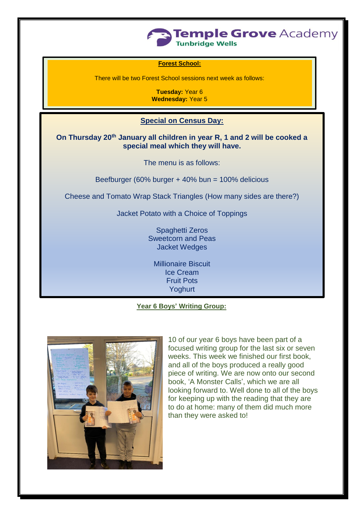

#### **Forest School:**

There will be two Forest School sessions next week as follows:

**Tuesday:** Year 6 **Wednesday:** Year 5

## **Special on Census Day:**

**On Thursday 20th January all children in year R, 1 and 2 will be cooked a special meal which they will have.**

The menu is as follows:

Beefburger (60% burger + 40% bun = 100% delicious

Cheese and Tomato Wrap Stack Triangles (How many sides are there?)

Jacket Potato with a Choice of Toppings

Spaghetti Zeros Sweetcorn and Peas Jacket Wedges

Millionaire Biscuit Ice Cream Fruit Pots Yoghurt

#### **Year 6 Boys' Writing Group:**



10 of our year 6 boys have been part of a focused writing group for the last six or seven weeks. This week we finished our first book, and all of the boys produced a really good piece of writing. We are now onto our second book, 'A Monster Calls', which we are all looking forward to. Well done to all of the boys for keeping up with the reading that they are to do at home: many of them did much more than they were asked to!